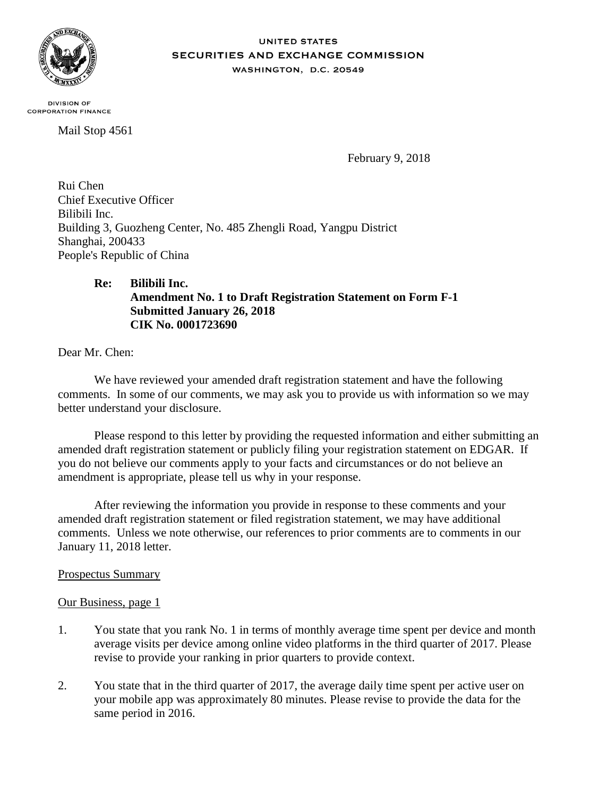

#### **UNITED STATES** SECURITIES AND EXCHANGE COMMISSION WASHINGTON, D.C. 20549

**DIVISION OF CORPORATION FINANCE** 

Mail Stop 4561

February 9, 2018

Rui Chen Chief Executive Officer Bilibili Inc. Building 3, Guozheng Center, No. 485 Zhengli Road, Yangpu District Shanghai, 200433 People's Republic of China

# **Re: Bilibili Inc. Amendment No. 1 to Draft Registration Statement on Form F-1 Submitted January 26, 2018 CIK No. 0001723690**

Dear Mr. Chen:

We have reviewed your amended draft registration statement and have the following comments. In some of our comments, we may ask you to provide us with information so we may better understand your disclosure.

Please respond to this letter by providing the requested information and either submitting an amended draft registration statement or publicly filing your registration statement on EDGAR. If you do not believe our comments apply to your facts and circumstances or do not believe an amendment is appropriate, please tell us why in your response.

After reviewing the information you provide in response to these comments and your amended draft registration statement or filed registration statement, we may have additional comments. Unless we note otherwise, our references to prior comments are to comments in our January 11, 2018 letter.

# Prospectus Summary

## Our Business, page 1

- 1. You state that you rank No. 1 in terms of monthly average time spent per device and month average visits per device among online video platforms in the third quarter of 2017. Please revise to provide your ranking in prior quarters to provide context.
- 2. You state that in the third quarter of 2017, the average daily time spent per active user on your mobile app was approximately 80 minutes. Please revise to provide the data for the same period in 2016.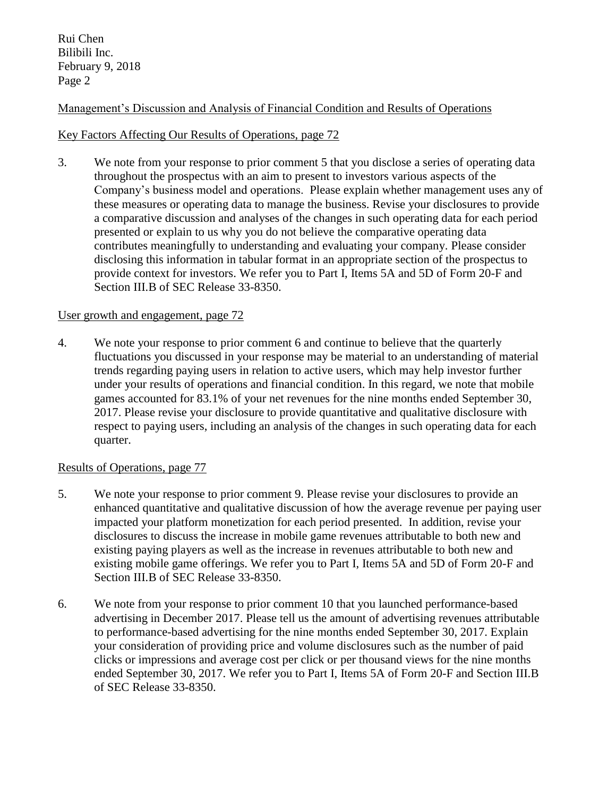Rui Chen Bilibili Inc. February 9, 2018 Page 2

# Management's Discussion and Analysis of Financial Condition and Results of Operations

## Key Factors Affecting Our Results of Operations, page 72

3. We note from your response to prior comment 5 that you disclose a series of operating data throughout the prospectus with an aim to present to investors various aspects of the Company's business model and operations. Please explain whether management uses any of these measures or operating data to manage the business. Revise your disclosures to provide a comparative discussion and analyses of the changes in such operating data for each period presented or explain to us why you do not believe the comparative operating data contributes meaningfully to understanding and evaluating your company. Please consider disclosing this information in tabular format in an appropriate section of the prospectus to provide context for investors. We refer you to Part I, Items 5A and 5D of Form 20-F and Section III.B of SEC Release 33-8350.

## User growth and engagement, page 72

4. We note your response to prior comment 6 and continue to believe that the quarterly fluctuations you discussed in your response may be material to an understanding of material trends regarding paying users in relation to active users, which may help investor further under your results of operations and financial condition. In this regard, we note that mobile games accounted for 83.1% of your net revenues for the nine months ended September 30, 2017. Please revise your disclosure to provide quantitative and qualitative disclosure with respect to paying users, including an analysis of the changes in such operating data for each quarter.

## Results of Operations, page 77

- 5. We note your response to prior comment 9. Please revise your disclosures to provide an enhanced quantitative and qualitative discussion of how the average revenue per paying user impacted your platform monetization for each period presented. In addition, revise your disclosures to discuss the increase in mobile game revenues attributable to both new and existing paying players as well as the increase in revenues attributable to both new and existing mobile game offerings. We refer you to Part I, Items 5A and 5D of Form 20-F and Section III.B of SEC Release 33-8350.
- 6. We note from your response to prior comment 10 that you launched performance-based advertising in December 2017. Please tell us the amount of advertising revenues attributable to performance-based advertising for the nine months ended September 30, 2017. Explain your consideration of providing price and volume disclosures such as the number of paid clicks or impressions and average cost per click or per thousand views for the nine months ended September 30, 2017. We refer you to Part I, Items 5A of Form 20-F and Section III.B of SEC Release 33-8350.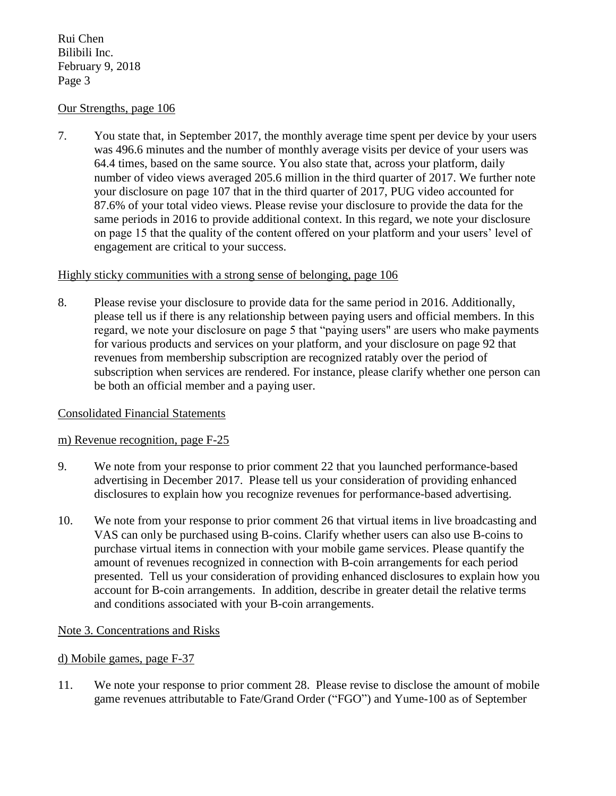Rui Chen Bilibili Inc. February 9, 2018 Page 3

## Our Strengths, page 106

7. You state that, in September 2017, the monthly average time spent per device by your users was 496.6 minutes and the number of monthly average visits per device of your users was 64.4 times, based on the same source. You also state that, across your platform, daily number of video views averaged 205.6 million in the third quarter of 2017. We further note your disclosure on page 107 that in the third quarter of 2017, PUG video accounted for 87.6% of your total video views. Please revise your disclosure to provide the data for the same periods in 2016 to provide additional context. In this regard, we note your disclosure on page 15 that the quality of the content offered on your platform and your users' level of engagement are critical to your success.

### Highly sticky communities with a strong sense of belonging, page 106

8. Please revise your disclosure to provide data for the same period in 2016. Additionally, please tell us if there is any relationship between paying users and official members. In this regard, we note your disclosure on page 5 that "paying users" are users who make payments for various products and services on your platform, and your disclosure on page 92 that revenues from membership subscription are recognized ratably over the period of subscription when services are rendered. For instance, please clarify whether one person can be both an official member and a paying user.

## Consolidated Financial Statements

#### m) Revenue recognition, page F-25

- 9. We note from your response to prior comment 22 that you launched performance-based advertising in December 2017. Please tell us your consideration of providing enhanced disclosures to explain how you recognize revenues for performance-based advertising.
- 10. We note from your response to prior comment 26 that virtual items in live broadcasting and VAS can only be purchased using B-coins. Clarify whether users can also use B-coins to purchase virtual items in connection with your mobile game services. Please quantify the amount of revenues recognized in connection with B-coin arrangements for each period presented. Tell us your consideration of providing enhanced disclosures to explain how you account for B-coin arrangements. In addition, describe in greater detail the relative terms and conditions associated with your B-coin arrangements.

## Note 3. Concentrations and Risks

#### d) Mobile games, page F-37

11. We note your response to prior comment 28. Please revise to disclose the amount of mobile game revenues attributable to Fate/Grand Order ("FGO") and Yume-100 as of September